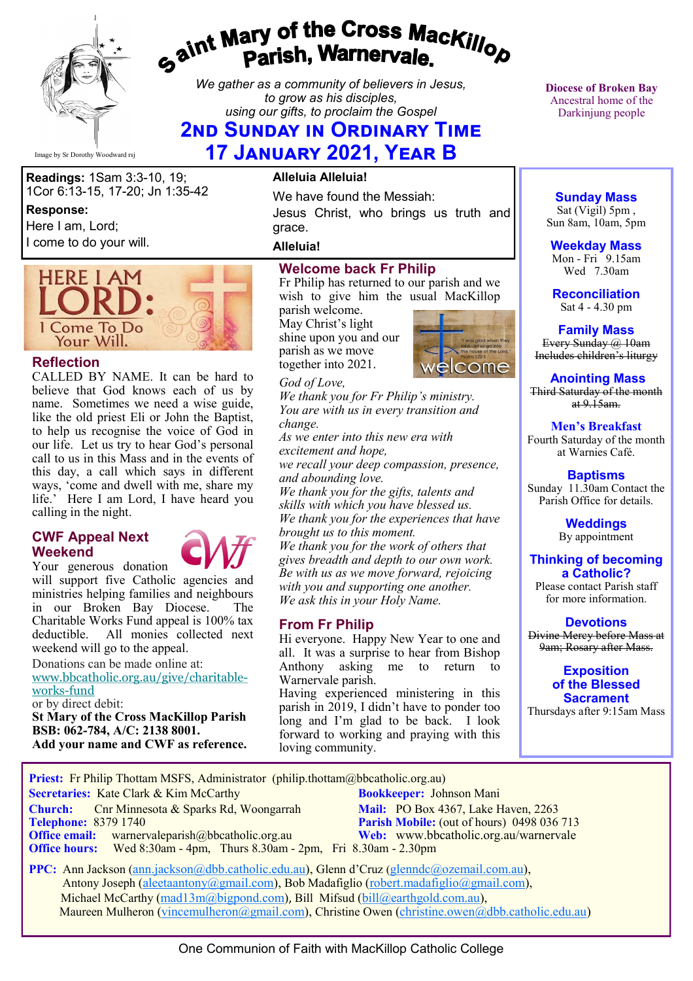

# gaint Mary of the Cross Mackillop<br>g<sup>aint</sup> Parish, Warnervale.

*We gather as a community of believers in Jesus, to grow as his disciples, using our gifts, to proclaim the Gospel*

## **2nd Sunday in Ordinary Time 17 January 2021, Year B**

Image by Sr Dorothy Woodward rsj

**Readings:** 1Sam 3:3-10, 19; 1Cor 6:13-15, 17-20; Jn 1:35-42

**Response:** 

Here I am, Lord; I come to do your will.



#### **Reflection**

CALLED BY NAME. It can be hard to believe that God knows each of us by name. Sometimes we need a wise guide, like the old priest Eli or John the Baptist, to help us recognise the voice of God in our life. Let us try to hear God's personal call to us in this Mass and in the events of this day, a call which says in different ways, 'come and dwell with me, share my life.' Here I am Lord, I have heard you calling in the night.

#### **CWF Appeal Next Weekend**



Your generous donation will support five Catholic agencies and ministries helping families and neighbours in our Broken Bay Diocese. The Charitable Works Fund appeal is 100% tax deductible. All monies collected next weekend will go to the appeal.

Donations can be made online at: [www.bbcatholic.org.au/give/charitable](https://bbcatholic.us8.list-manage.com/track/click?u=466af249e088db70ab864d088&id=5a94d43080&e=e312df0f80)[works](https://bbcatholic.us8.list-manage.com/track/click?u=466af249e088db70ab864d088&id=5a94d43080&e=e312df0f80)-fund

or by direct debit:

**St Mary of the Cross MacKillop Parish BSB: 062-784, A/C: 2138 8001. Add your name and CWF as reference.**

#### **Alleluia Alleluia!**

We have found the Messiah: Jesus Christ, who brings us truth and grace.

**Alleluia!**

#### **Welcome back Fr Philip**

Fr Philip has returned to our parish and we wish to give him the usual MacKillop

parish welcome. May Christ's light shine upon you and our parish as we move together into 2021.





*God of Love, We thank you for Fr Philip's ministry. You are with us in every transition and change.*

*As we enter into this new era with excitement and hope, we recall your deep compassion, presence,* 

*and abounding love. We thank you for the gifts, talents and* 

*skills with which you have blessed us. We thank you for the experiences that have brought us to this moment.*

*We thank you for the work of others that gives breadth and depth to our own work. Be with us as we move forward, rejoicing with you and supporting one another. We ask this in your Holy Name.*

#### **From Fr Philip**

Hi everyone. Happy New Year to one and all. It was a surprise to hear from Bishop Anthony asking me to return to Warnervale parish.

Having experienced ministering in this parish in 2019, I didn't have to ponder too long and I'm glad to be back. I look forward to working and praying with this loving community.

**Diocese of Broken Bay**  Ancestral home of the Darkinjung people

**Sunday Mass** Sat (Vigil) 5pm , Sun 8am, 10am, 5pm

**Weekday Mass** Mon - Fri 9.15am Wed 7.30am

**Reconciliation** Sat 4 - 4.30 pm

**Family Mass**  Every Sunday @ 10am Includes children's liturgy

**Anointing Mass** Third Saturday of the month at  $9.15$ am.

**Men's Breakfast** Fourth Saturday of the month at Warnies Café.

**Baptisms** Sunday 11.30am Contact the Parish Office for details.

> **Weddings**  By appointment

**Thinking of becoming a Catholic?** Please contact Parish staff

for more information.

**Devotions** Divine Mercy before Mass at 9am; Rosary after Mass.

> **Exposition of the Blessed Sacrament**

Thursdays after 9:15am Mass

**Priest:** Fr Philip Thottam MSFS, Administrator (philip.thottam@bbcatholic.org.au)  **Secretaries:** Kate Clark & Kim McCarthy **Bookkeeper:** Johnson Mani  **Church:** Cnr Minnesota & Sparks Rd, Woongarrah **Mail:** PO Box 4367, Lake Haven, 2263 **Telephone: 8379 1740 Parish Mobile:** (out of hours) 0498 036 713 **Office email:** warnervaleparish@bbcatholic.org.au **Web:** [www.bbcatholic.org.au/warnervale](https://www.bbcatholic.org.au/warnervale) **Office hours:** Wed 8:30am - 4pm, Thurs 8.30am - 2pm, Fri 8.30am - 2.30pm

 **PPC:** Ann Jackson ([ann.jackson@dbb.catholic.edu.au\),](mailto:ann.jackson@dbb.catholic.edu.au) Glenn d'Cruz ([glenndc@ozemail.com.au\)](mailto:glenndc@ozemail.com.au), Antony Joseph ([aleetaantony@gmail.com\),](mailto:aleetaantony@gmail.com) Bob Madafiglio [\(robert.madafiglio@gmail.com\),](mailto:robert.madafiglio@gmail.com) Michael McCarthy ([mad13m@bigpond.com\)](mailto:mad13m@bigpond.com), Bill Mifsud ([bill@earthgold.com.au\),](mailto:bill@earthgold.com.au) Maureen Mulheron ([vincemulheron@gmail.com\)](mailto:vincemulheron@gmail.com), Christine Owen (christine.owen[@dbb.catholic.edu.au\)](mailto:ann.jackson@dbb.catholic.edu.au)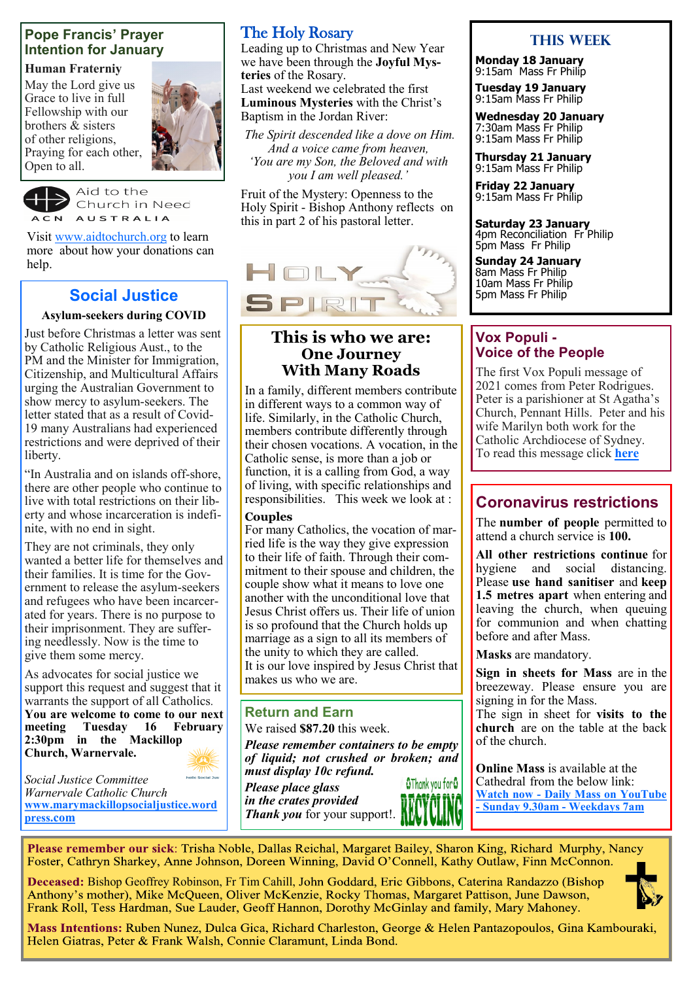#### **Pope Francis' Prayer Intention for January**

#### **Human Fraterniy**

May the Lord give us Grace to live in full Fellowship with our brothers & sisters of other religions, Praying for each other, Open to all.



Aid to the Church in Need ACN AUSTRALIA

Visit [www.aidtochurch.org](http://www.aidtochurch.org/) to learn more about how your donations can help.

### **Social Justice**

#### **Asylum-seekers during COVID**

Just before Christmas a letter was sent by Catholic Religious Aust., to the PM and the Minister for Immigration, Citizenship, and Multicultural Affairs urging the Australian Government to show mercy to asylum-seekers. The letter stated that as a result of Covid-19 many Australians had experienced restrictions and were deprived of their liberty.

"In Australia and on islands off-shore, there are other people who continue to live with total restrictions on their liberty and whose incarceration is indefinite, with no end in sight.

They are not criminals, they only wanted a better life for themselves and their families. It is time for the Government to release the asylum-seekers and refugees who have been incarcerated for years. There is no purpose to their imprisonment. They are suffering needlessly. Now is the time to give them some mercy.

As advocates for social justice we support this request and suggest that it warrants the support of all Catholics*.* **You are welcome to come to our next**  meeting Tuesday **2:30pm in the Mackillop Church, Warnervale.** 

*Social Justice Committee Warnervale Catholic Church*  **[www.marymackillopsocialjustice.word](http://www.marymackillopsocialjustice.wordpress.com) [press](http://www.marymackillopsocialjustice.wordpress.com).com**

## The Holy Rosary

Leading up to Christmas and New Year we have been through the **Joyful Mysteries** of the Rosary.

Last weekend we celebrated the first **Luminous Mysteries** with the Christ's Baptism in the Jordan River:

*The Spirit descended like a dove on Him. And a voice came from heaven, 'You are my Son, the Beloved and with you I am well pleased.'*

Fruit of the Mystery: Openness to the Holy Spirit - Bishop Anthony reflects on this in part 2 of his pastoral letter.



#### **This is who we are: One Journey With Many Roads**

In a family, different members contribute in different ways to a common way of life. Similarly, in the Catholic Church, members contribute differently through their chosen vocations. A vocation, in the Catholic sense, is more than a job or function, it is a calling from God, a way of living, with specific relationships and responsibilities. This week we look at :

#### **Couples**

For many Catholics, the vocation of married life is the way they give expression to their life of faith. Through their commitment to their spouse and children, the couple show what it means to love one another with the unconditional love that Jesus Christ offers us. Their life of union is so profound that the Church holds up marriage as a sign to all its members of the unity to which they are called. It is our love inspired by Jesus Christ that makes us who we are.

#### **Return and Earn**

We raised **\$87.20** this week.

*Please remember containers to be empty of liquid; not crushed or broken; and* 

**OThank** you for **O** 

*Please place glass in the crates provided Thank you* for your support!.



**Monday 18 January** 9:15am Mass Fr Philip

**Tuesday 19 January** 9:15am Mass Fr Philip

**Wednesday 20 January** 7:30am Mass Fr Philip 9:15am Mass Fr Philip

**Thursday 21 January** 9:15am Mass Fr Philip

**Friday 22 January**  9:15am Mass Fr Philip

**Saturday 23 January** 4pm Reconciliation Fr Philip 5pm Mass Fr Philip

**Sunday 24 January** 8am Mass Fr Philip 10am Mass Fr Philip 5pm Mass Fr Philip

#### **Vox Populi - Voice of the People**

The first Vox Populi message of 2021 comes from Peter Rodrigues. Peter is a parishioner at St Agatha's Church, Pennant Hills. Peter and his wife Marilyn both work for the Catholic Archdiocese of Sydney. To read this message click **[here](https://bbcatholic.us8.list-manage.com/track/click?u=466af249e088db70ab864d088&id=513e2cc016&e=e312df0f80)**

## **Coronavirus restrictions**

The **number of people** permitted to attend a church service is **100.**

**All other restrictions continue** for hygiene and social distancing. Please **use hand sanitiser** and **keep 1.5 metres apart** when entering and leaving the church, when queuing for communion and when chatting before and after Mass.

**Masks** are mandatory.

**Sign in sheets for Mass** are in the breezeway. Please ensure you are signing in for the Mass.

The sign in sheet for **visits to the church** are on the table at the back of the church.

**Online Mass** is available at the Cathedral from the below link: **Watch now - [Daily Mass on YouTube](https://www.youtube.com/channel/UCNenwlfI7i14XB9TsVBrLvQ/)  - [Sunday 9.30am](https://www.youtube.com/channel/UCNenwlfI7i14XB9TsVBrLvQ/) - Weekdays 7am**

Please remember our sick: Trisha Noble, Dallas Reichal, Margaret Bailey, Sharon King, Richard Murphy, Nancy Foster, Cathryn Sharkey, Anne Johnson, Doreen Winning, David O'Connell, Kathy Outlaw, Finn McConnon.

Deceased: Bishop Geoffrey Robinson, Fr Tim Cahill, John Goddard, Eric Gibbons, Caterina Randazzo (Bishop<br>Anthony's mother), Mike McQueen, Oliver McKenzie, Rocky Thomas, Margaret Pattison, June Dawson, Frank Roll, Tess Hardman, Sue Lauder, Geoff Hannon, Dorothy McGinlay and family, Mary Mahoney.



Mass Intentions: Ruben Nunez, Dulca Gica, Richard Charleston, George & Helen Pantazopoulos, Gina Kambouraki, Helen Giatras, Peter & Frank Walsh, Connie Claramunt, Linda Bond.

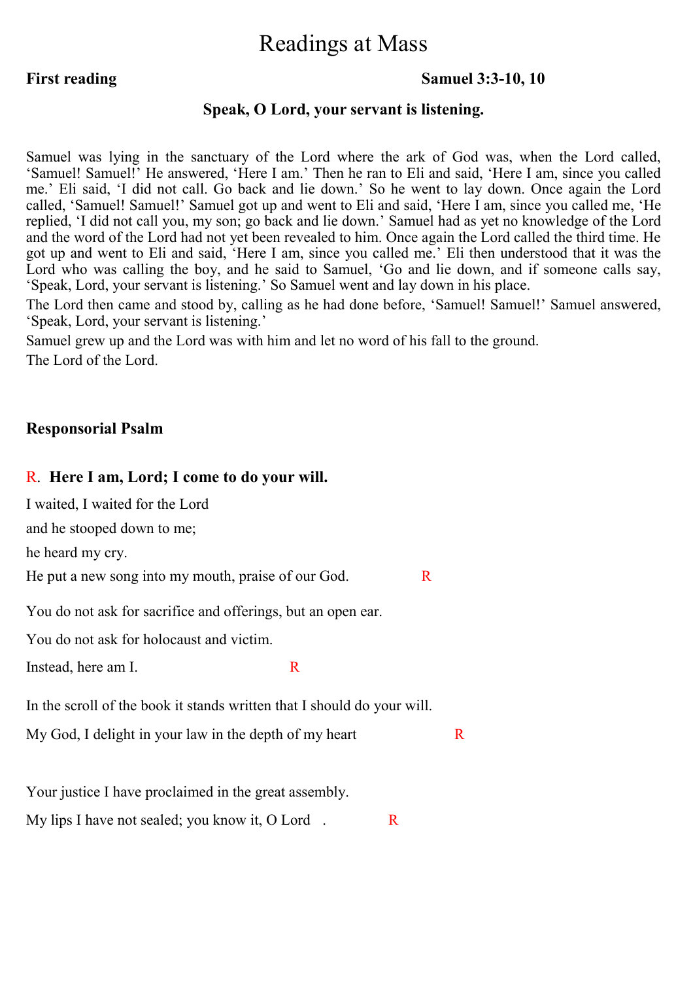# Readings at Mass

#### **First reading Samuel 3:3-10, 10**

#### **Speak, O Lord, your servant is listening.**

Samuel was lying in the sanctuary of the Lord where the ark of God was, when the Lord called, 'Samuel! Samuel!' He answered, 'Here I am.' Then he ran to Eli and said, 'Here I am, since you called me.' Eli said, 'I did not call. Go back and lie down.' So he went to lay down. Once again the Lord called, 'Samuel! Samuel!' Samuel got up and went to Eli and said, 'Here I am, since you called me, 'He replied, 'I did not call you, my son; go back and lie down.' Samuel had as yet no knowledge of the Lord and the word of the Lord had not yet been revealed to him. Once again the Lord called the third time. He got up and went to Eli and said, 'Here I am, since you called me.' Eli then understood that it was the Lord who was calling the boy, and he said to Samuel, 'Go and lie down, and if someone calls say, 'Speak, Lord, your servant is listening.' So Samuel went and lay down in his place.

The Lord then came and stood by, calling as he had done before, 'Samuel! Samuel!' Samuel answered, 'Speak, Lord, your servant is listening.'

Samuel grew up and the Lord was with him and let no word of his fall to the ground. The Lord of the Lord.

#### **Responsorial Psalm**

#### R. **Here I am, Lord; I come to do your will.**

I waited, I waited for the Lord

and he stooped down to me;

he heard my cry.

He put a new song into my mouth, praise of our God.  $\mathbb R$ 

You do not ask for sacrifice and offerings, but an open ear.

You do not ask for holocaust and victim.

Instead, here am I.

In the scroll of the book it stands written that I should do your will.

My God, I delight in your law in the depth of my heart  $R$ 

Your justice I have proclaimed in the great assembly.

My lips I have not sealed; you know it, O Lord  $\,$  . R